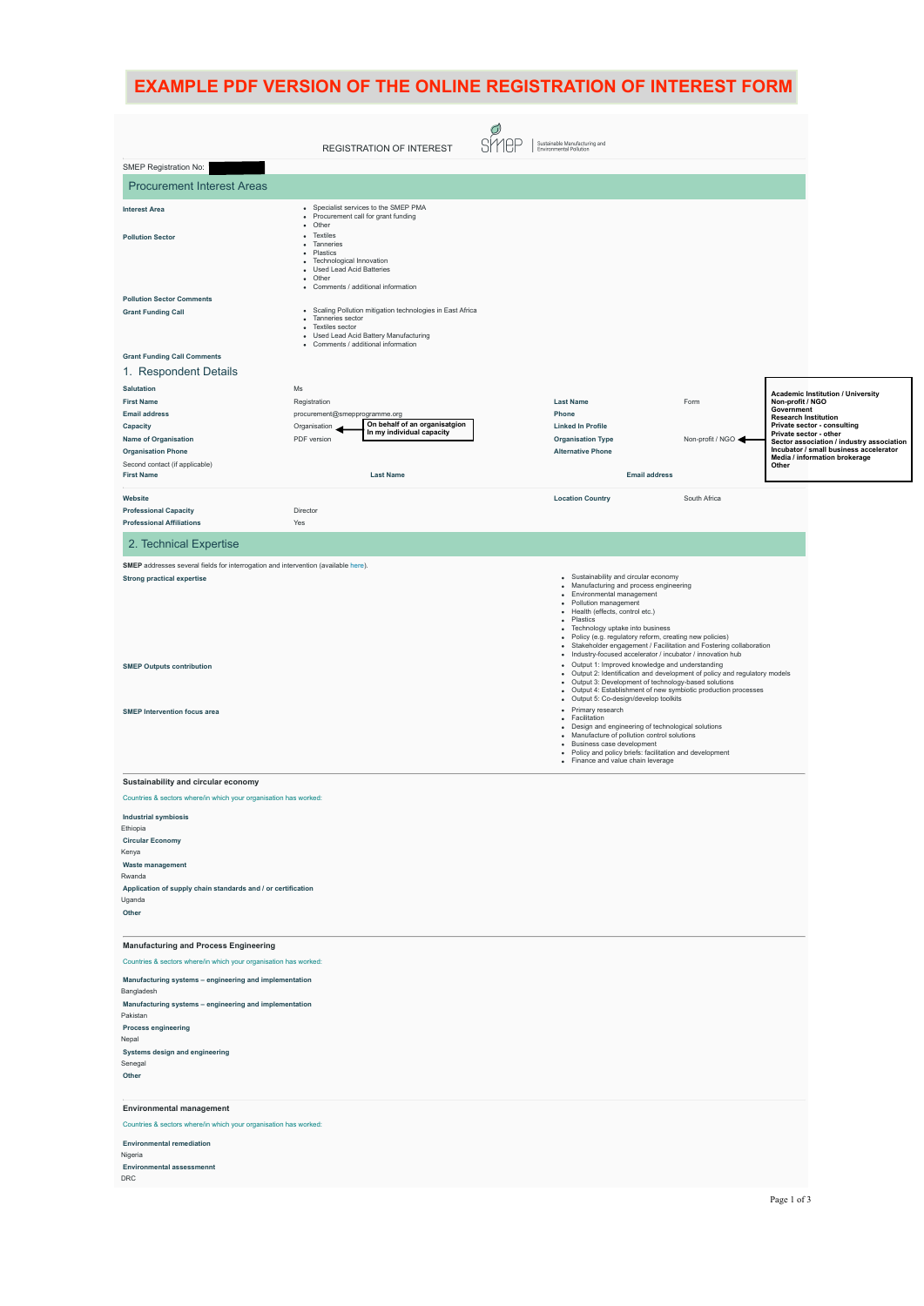|                                                                                                                                                                                                                                                                         |                                                                                                                                                                                                                                                                                                                                                                                                                                                                                                                                                                                                                                                                                                                                                                                                                                           | <b>EXAMPLE PDF VERSION OF THE ONLINE REGISTRATION OF INTEREST FORM</b>       |                  |                                                                                                    |
|-------------------------------------------------------------------------------------------------------------------------------------------------------------------------------------------------------------------------------------------------------------------------|-------------------------------------------------------------------------------------------------------------------------------------------------------------------------------------------------------------------------------------------------------------------------------------------------------------------------------------------------------------------------------------------------------------------------------------------------------------------------------------------------------------------------------------------------------------------------------------------------------------------------------------------------------------------------------------------------------------------------------------------------------------------------------------------------------------------------------------------|------------------------------------------------------------------------------|------------------|----------------------------------------------------------------------------------------------------|
|                                                                                                                                                                                                                                                                         | <b>REGISTRATION OF INTEREST</b>                                                                                                                                                                                                                                                                                                                                                                                                                                                                                                                                                                                                                                                                                                                                                                                                           | O<br><b>SMEP</b><br>Sustainable Manufacturing and<br>Environmental Pollution |                  |                                                                                                    |
| SMEP Registration No:                                                                                                                                                                                                                                                   |                                                                                                                                                                                                                                                                                                                                                                                                                                                                                                                                                                                                                                                                                                                                                                                                                                           |                                                                              |                  |                                                                                                    |
| <b>Procurement Interest Areas</b>                                                                                                                                                                                                                                       |                                                                                                                                                                                                                                                                                                                                                                                                                                                                                                                                                                                                                                                                                                                                                                                                                                           |                                                                              |                  |                                                                                                    |
| <b>Interest Area</b>                                                                                                                                                                                                                                                    | • Specialist services to the SMEP PMA<br>• Procurement call for grant funding                                                                                                                                                                                                                                                                                                                                                                                                                                                                                                                                                                                                                                                                                                                                                             |                                                                              |                  |                                                                                                    |
| <b>Pollution Sector</b>                                                                                                                                                                                                                                                 | • Other<br>• Textiles<br>• Tanneries<br>• Plastics<br>• Technological Innovation<br>• Used Lead Acid Batteries<br>• Other                                                                                                                                                                                                                                                                                                                                                                                                                                                                                                                                                                                                                                                                                                                 |                                                                              |                  |                                                                                                    |
| <b>Pollution Sector Comments</b><br><b>Grant Funding Call</b>                                                                                                                                                                                                           | • Comments / additional information<br>• Scaling Pollution mitigation technologies in East Africa<br>• Tanneries sector<br>• Textiles sector<br>• Used Lead Acid Battery Manufacturing<br>• Comments / additional information                                                                                                                                                                                                                                                                                                                                                                                                                                                                                                                                                                                                             |                                                                              |                  |                                                                                                    |
| <b>Grant Funding Call Comments</b>                                                                                                                                                                                                                                      |                                                                                                                                                                                                                                                                                                                                                                                                                                                                                                                                                                                                                                                                                                                                                                                                                                           |                                                                              |                  |                                                                                                    |
| 1. Respondent Details                                                                                                                                                                                                                                                   |                                                                                                                                                                                                                                                                                                                                                                                                                                                                                                                                                                                                                                                                                                                                                                                                                                           |                                                                              |                  |                                                                                                    |
| <b>Salutation</b><br><b>First Name</b>                                                                                                                                                                                                                                  | $\mathsf{Ms}$<br>Registration                                                                                                                                                                                                                                                                                                                                                                                                                                                                                                                                                                                                                                                                                                                                                                                                             | <b>Last Name</b>                                                             | Form             | <b>Academic Institution / University</b><br>Non-profit / NGO                                       |
| <b>Email address</b>                                                                                                                                                                                                                                                    | procurement@smepprogramme.org<br>On behalf of an organisatgion                                                                                                                                                                                                                                                                                                                                                                                                                                                                                                                                                                                                                                                                                                                                                                            | Phone                                                                        |                  | Government<br><b>Research Institution</b>                                                          |
| Capacity<br>Name of Organisation                                                                                                                                                                                                                                        | Organisation<br>In my individual capacity<br>PDF version                                                                                                                                                                                                                                                                                                                                                                                                                                                                                                                                                                                                                                                                                                                                                                                  | <b>Linked In Profile</b><br><b>Organisation Type</b>                         | Non-profit / NGO | Private sector - consulting<br>Private sector - other<br>Sector association / industry association |
| <b>Organisation Phone</b>                                                                                                                                                                                                                                               |                                                                                                                                                                                                                                                                                                                                                                                                                                                                                                                                                                                                                                                                                                                                                                                                                                           | <b>Alternative Phone</b>                                                     |                  | Incubator / small business accelerator<br>Media / information brokerage                            |
| Second contact (if applicable)<br><b>First Name</b>                                                                                                                                                                                                                     | <b>Last Name</b>                                                                                                                                                                                                                                                                                                                                                                                                                                                                                                                                                                                                                                                                                                                                                                                                                          | <b>Email address</b>                                                         |                  | Other                                                                                              |
| Website<br><b>Professional Capacity</b><br><b>Professional Affiliations</b>                                                                                                                                                                                             | Director                                                                                                                                                                                                                                                                                                                                                                                                                                                                                                                                                                                                                                                                                                                                                                                                                                  | <b>Location Country</b>                                                      | South Africa     |                                                                                                    |
|                                                                                                                                                                                                                                                                         | Yes                                                                                                                                                                                                                                                                                                                                                                                                                                                                                                                                                                                                                                                                                                                                                                                                                                       |                                                                              |                  |                                                                                                    |
| 2. Technical Expertise<br>SMEP addresses several fields for interrogation and intervention (available here).                                                                                                                                                            |                                                                                                                                                                                                                                                                                                                                                                                                                                                                                                                                                                                                                                                                                                                                                                                                                                           |                                                                              |                  |                                                                                                    |
| <b>SMEP Outputs contribution</b><br><b>SMEP Intervention focus area</b>                                                                                                                                                                                                 | • Plastics<br>• Technology uptake into business<br>· Policy (e.g. regulatory reform, creating new policies)<br>• Stakeholder engagement / Facilitation and Fostering collaboration<br>· Industry-focused accelerator / incubator / innovation hub<br>• Output 1: Improved knowledge and understanding<br>• Output 2: Identification and development of policy and regulatory models<br>• Output 3: Development of technology-based solutions<br>• Output 4: Establishment of new symbiotic production processes<br>· Output 5: Co-design/develop toolkits<br>• Primary research<br>• Facilitation<br>• Design and engineering of technological solutions<br>• Manufacture of pollution control solutions<br>· Business case development<br>• Policy and policy briefs: facilitation and development<br>• Finance and value chain leverage |                                                                              |                  |                                                                                                    |
| Sustainability and circular economy                                                                                                                                                                                                                                     |                                                                                                                                                                                                                                                                                                                                                                                                                                                                                                                                                                                                                                                                                                                                                                                                                                           |                                                                              |                  |                                                                                                    |
| Countries & sectors where/in which your organisation has worked:<br><b>Industrial symbiosis</b><br>Ethiopia<br><b>Circular Economy</b><br>Kenya<br><b>Waste management</b><br>Rwanda<br>Application of supply chain standards and / or certification<br>Uganda<br>Other |                                                                                                                                                                                                                                                                                                                                                                                                                                                                                                                                                                                                                                                                                                                                                                                                                                           |                                                                              |                  |                                                                                                    |
| <b>Manufacturing and Process Engineering</b><br>Countries & sectors where/in which your organisation has worked:                                                                                                                                                        |                                                                                                                                                                                                                                                                                                                                                                                                                                                                                                                                                                                                                                                                                                                                                                                                                                           |                                                                              |                  |                                                                                                    |
| Manufacturing systems - engineering and implementation<br>Bangladesh<br>Manufacturing systems - engineering and implementation<br>Pakistan<br><b>Process engineering</b><br>Nepal<br>Systems design and engineering<br>Senegal<br>Other                                 |                                                                                                                                                                                                                                                                                                                                                                                                                                                                                                                                                                                                                                                                                                                                                                                                                                           |                                                                              |                  |                                                                                                    |
| <b>Environmental management</b><br>Countries & sectors where/in which your organisation has worked:<br><b>Environmental remediation</b><br>Nigeria<br><b>Environmental assessmennt</b><br>DRC                                                                           |                                                                                                                                                                                                                                                                                                                                                                                                                                                                                                                                                                                                                                                                                                                                                                                                                                           |                                                                              |                  |                                                                                                    |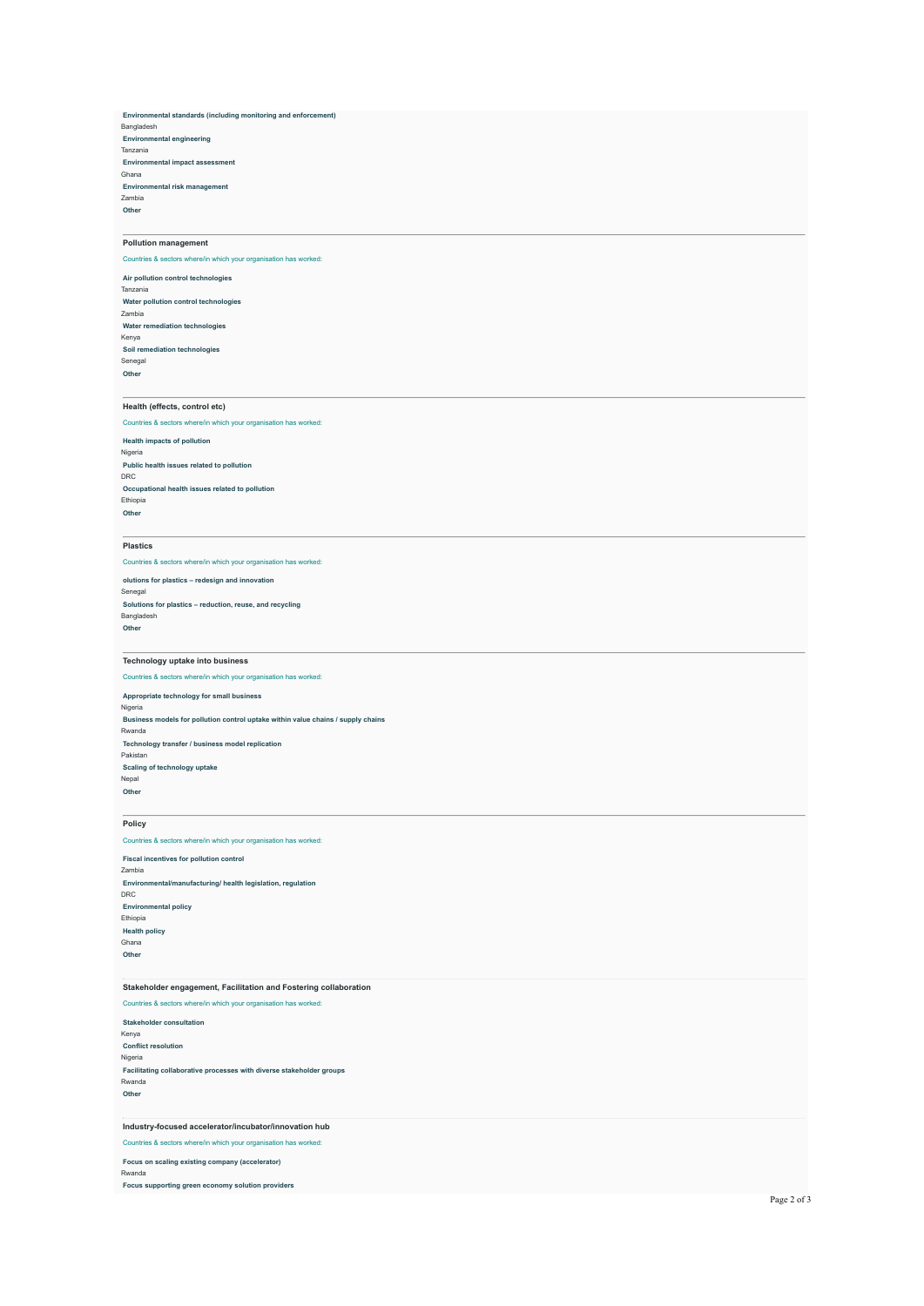**Environmental standards (including monitoring and enforcement)** Bangladesh **Environmental engineering** Tanzania **Environmental impact assessment** Ghana **Environmental risk management** Zambia **Other**

## **Pollution management**

Countries & sectors where/in which your organisation has worked:

**Air pollution control technologies** Tanzania **Water pollution control technologies** Zambia **Water remediation technologies** Kenya **Soil remediation technologies** Senegal **Other**

## **Health (effects, control etc)**

Countries & sectors where/in which your organisation has worked:

**Health impacts of pollution** Nigeria **Public health issues related to pollution** DRC **Occupational health issues related to pollution** Ethiopia **Other**

#### **Plastics**

**Other**

Countries & sectors where/in which your organisation has worked:

**olutions for plastics – redesign and innovation** Senegal **Solutions for plastics – reduction, reuse, and recycling** Bangladesh

### **Technology uptake into business**

Countries & sectors where/in which your organisation has worked: **Appropriate technology for small business** Nigeria **Business models for pollution control uptake within value chains / supply chains** Rwanda **Technology transfer / business model replication** Pakistan **Scaling of technology uptake** Nepal **Other**

# **Policy**

Countries & sectors where/in which your organisation has worked: **Fiscal incentives for pollution control**

Zambia **Environmental/manufacturing/ health legislation, regulation** DRC **Environmental policy** Ethiopia **Health policy** Ghana **Other**

# **Stakeholder engagement, Facilitation and Fostering collaboration**

Countries & sectors where/in which your organisation has worked: **Stakeholder consultation** Kenya **Conflict resolution** Nigeria **Facilitating collaborative processes with diverse stakeholder groups** Rwanda **Other**

### **Industry-focused accelerator/incubator/innovation hub**

Countries & sectors where/in which your organisation has worked:

**Focus on scaling existing company (accelerator)** Rwanda

**Focus supporting green economy solution providers**